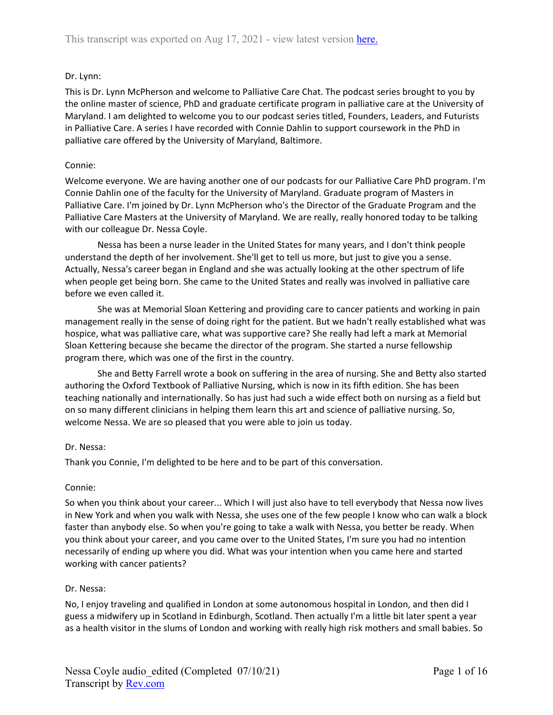# Dr. Lynn:

This is Dr. Lynn McPherson and welcome to Palliative Care Chat. The podcast series brought to you by the online master of science, PhD and graduate certificate program in palliative care at the University of Maryland. I am delighted to welcome you to our podcast series titled, Founders, Leaders, and Futurists in Palliative Care. A series I have recorded with Connie Dahlin to support coursework in the PhD in palliative care offered by the University of Maryland, Baltimore.

# Connie:

Welcome everyone. We are having another one of our podcasts for our Palliative Care PhD program. I'm Connie Dahlin one of the faculty for the University of Maryland. Graduate program of Masters in Palliative Care. I'm joined by Dr. Lynn McPherson who's the Director of the Graduate Program and the Palliative Care Masters at the University of Maryland. We are really, really honored today to be talking with our colleague Dr. Nessa Coyle.

Nessa has been a nurse leader in the United States for many years, and I don't think people understand the depth of her involvement. She'll get to tell us more, but just to give you a sense. Actually, Nessa's career began in England and she was actually looking at the other spectrum of life when people get being born. She came to the United States and really was involved in palliative care before we even called it.

She was at Memorial Sloan Kettering and providing care to cancer patients and working in pain management really in the sense of doing right for the patient. But we hadn't really established what was hospice, what was palliative care, what was supportive care? She really had left a mark at Memorial Sloan Kettering because she became the director of the program. She started a nurse fellowship program there, which was one of the first in the country.

She and Betty Farrell wrote a book on suffering in the area of nursing. She and Betty also started authoring the Oxford Textbook of Palliative Nursing, which is now in its fifth edition. She has been teaching nationally and internationally. So has just had such a wide effect both on nursing as a field but on so many different clinicians in helping them learn this art and science of palliative nursing. So, welcome Nessa. We are so pleased that you were able to join us today.

# Dr. Nessa:

Thank you Connie, I'm delighted to be here and to be part of this conversation.

# Connie:

So when you think about your career... Which I will just also have to tell everybody that Nessa now lives in New York and when you walk with Nessa, she uses one of the few people I know who can walk a block faster than anybody else. So when you're going to take a walk with Nessa, you better be ready. When you think about your career, and you came over to the United States, I'm sure you had no intention necessarily of ending up where you did. What was your intention when you came here and started working with cancer patients?

# Dr. Nessa:

No, I enjoy traveling and qualified in London at some autonomous hospital in London, and then did I guess a midwifery up in Scotland in Edinburgh, Scotland. Then actually I'm a little bit later spent a year as a health visitor in the slums of London and working with really high risk mothers and small babies. So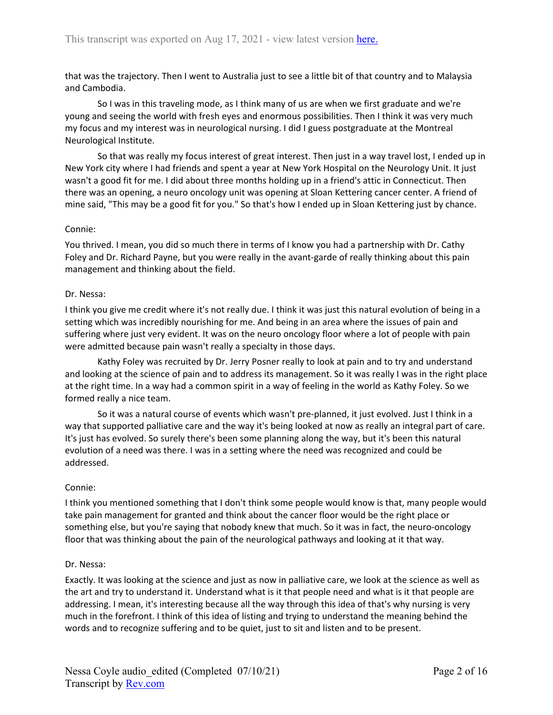that was the trajectory. Then I went to Australia just to see a little bit of that country and to Malaysia and Cambodia.

So I was in this traveling mode, as I think many of us are when we first graduate and we're young and seeing the world with fresh eyes and enormous possibilities. Then I think it was very much my focus and my interest was in neurological nursing. I did I guess postgraduate at the Montreal Neurological Institute.

So that was really my focus interest of great interest. Then just in a way travel lost, I ended up in New York city where I had friends and spent a year at New York Hospital on the Neurology Unit. It just wasn't a good fit for me. I did about three months holding up in a friend's attic in Connecticut. Then there was an opening, a neuro oncology unit was opening at Sloan Kettering cancer center. A friend of mine said, "This may be a good fit for you." So that's how I ended up in Sloan Kettering just by chance.

### Connie:

You thrived. I mean, you did so much there in terms of I know you had a partnership with Dr. Cathy Foley and Dr. Richard Payne, but you were really in the avant-garde of really thinking about this pain management and thinking about the field.

#### Dr. Nessa:

I think you give me credit where it's not really due. I think it was just this natural evolution of being in a setting which was incredibly nourishing for me. And being in an area where the issues of pain and suffering where just very evident. It was on the neuro oncology floor where a lot of people with pain were admitted because pain wasn't really a specialty in those days.

Kathy Foley was recruited by Dr. Jerry Posner really to look at pain and to try and understand and looking at the science of pain and to address its management. So it was really I was in the right place at the right time. In a way had a common spirit in a way of feeling in the world as Kathy Foley. So we formed really a nice team.

So it was a natural course of events which wasn't pre-planned, it just evolved. Just I think in a way that supported palliative care and the way it's being looked at now as really an integral part of care. It's just has evolved. So surely there's been some planning along the way, but it's been this natural evolution of a need was there. I was in a setting where the need was recognized and could be addressed.

### Connie:

I think you mentioned something that I don't think some people would know is that, many people would take pain management for granted and think about the cancer floor would be the right place or something else, but you're saying that nobody knew that much. So it was in fact, the neuro-oncology floor that was thinking about the pain of the neurological pathways and looking at it that way.

#### Dr. Nessa:

Exactly. It was looking at the science and just as now in palliative care, we look at the science as well as the art and try to understand it. Understand what is it that people need and what is it that people are addressing. I mean, it's interesting because all the way through this idea of that's why nursing is very much in the forefront. I think of this idea of listing and trying to understand the meaning behind the words and to recognize suffering and to be quiet, just to sit and listen and to be present.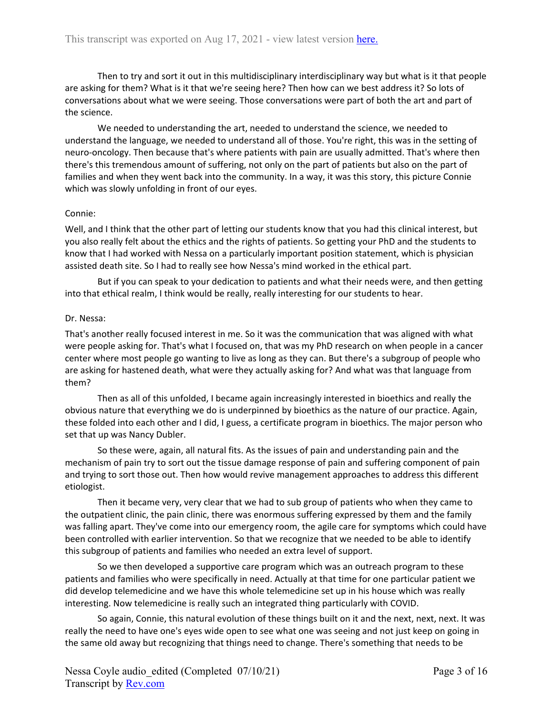Then to try and sort it out in this multidisciplinary interdisciplinary way but what is it that people are asking for them? What is it that we're seeing here? Then how can we best address it? So lots of conversations about what we were seeing. Those conversations were part of both the art and part of the science.

We needed to understanding the art, needed to understand the science, we needed to understand the language, we needed to understand all of those. You're right, this was in the setting of neuro-oncology. Then because that's where patients with pain are usually admitted. That's where then there's this tremendous amount of suffering, not only on the part of patients but also on the part of families and when they went back into the community. In a way, it was this story, this picture Connie which was slowly unfolding in front of our eyes.

### Connie:

Well, and I think that the other part of letting our students know that you had this clinical interest, but you also really felt about the ethics and the rights of patients. So getting your PhD and the students to know that I had worked with Nessa on a particularly important position statement, which is physician assisted death site. So I had to really see how Nessa's mind worked in the ethical part.

But if you can speak to your dedication to patients and what their needs were, and then getting into that ethical realm, I think would be really, really interesting for our students to hear.

### Dr. Nessa:

That's another really focused interest in me. So it was the communication that was aligned with what were people asking for. That's what I focused on, that was my PhD research on when people in a cancer center where most people go wanting to live as long as they can. But there's a subgroup of people who are asking for hastened death, what were they actually asking for? And what was that language from them?

Then as all of this unfolded, I became again increasingly interested in bioethics and really the obvious nature that everything we do is underpinned by bioethics as the nature of our practice. Again, these folded into each other and I did, I guess, a certificate program in bioethics. The major person who set that up was Nancy Dubler.

So these were, again, all natural fits. As the issues of pain and understanding pain and the mechanism of pain try to sort out the tissue damage response of pain and suffering component of pain and trying to sort those out. Then how would revive management approaches to address this different etiologist.

Then it became very, very clear that we had to sub group of patients who when they came to the outpatient clinic, the pain clinic, there was enormous suffering expressed by them and the family was falling apart. They've come into our emergency room, the agile care for symptoms which could have been controlled with earlier intervention. So that we recognize that we needed to be able to identify this subgroup of patients and families who needed an extra level of support.

So we then developed a supportive care program which was an outreach program to these patients and families who were specifically in need. Actually at that time for one particular patient we did develop telemedicine and we have this whole telemedicine set up in his house which was really interesting. Now telemedicine is really such an integrated thing particularly with COVID.

So again, Connie, this natural evolution of these things built on it and the next, next, next. It was really the need to have one's eyes wide open to see what one was seeing and not just keep on going in the same old away but recognizing that things need to change. There's something that needs to be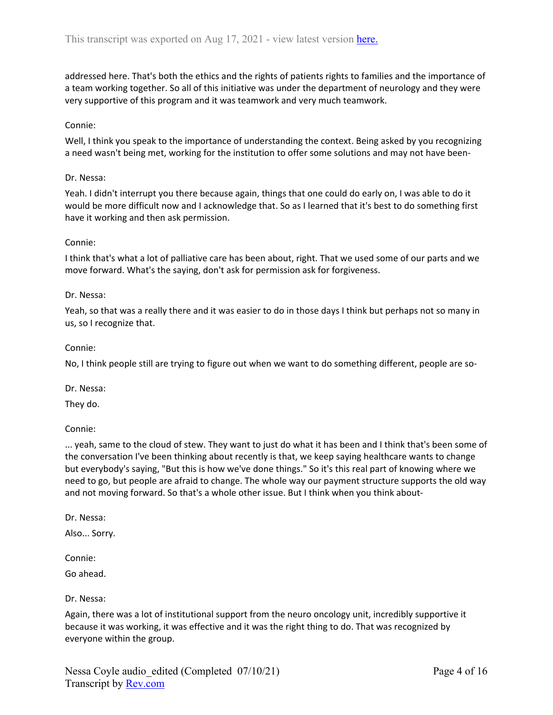addressed here. That's both the ethics and the rights of patients rights to families and the importance of a team working together. So all of this initiative was under the department of neurology and they were very supportive of this program and it was teamwork and very much teamwork.

### Connie:

Well, I think you speak to the importance of understanding the context. Being asked by you recognizing a need wasn't being met, working for the institution to offer some solutions and may not have been-

### Dr. Nessa:

Yeah. I didn't interrupt you there because again, things that one could do early on, I was able to do it would be more difficult now and I acknowledge that. So as I learned that it's best to do something first have it working and then ask permission.

### Connie:

I think that's what a lot of palliative care has been about, right. That we used some of our parts and we move forward. What's the saying, don't ask for permission ask for forgiveness.

### Dr. Nessa:

Yeah, so that was a really there and it was easier to do in those days I think but perhaps not so many in us, so I recognize that.

### Connie:

No, I think people still are trying to figure out when we want to do something different, people are so-

Dr. Nessa:

They do.

Connie:

... yeah, same to the cloud of stew. They want to just do what it has been and I think that's been some of the conversation I've been thinking about recently is that, we keep saying healthcare wants to change but everybody's saying, "But this is how we've done things." So it's this real part of knowing where we need to go, but people are afraid to change. The whole way our payment structure supports the old way and not moving forward. So that's a whole other issue. But I think when you think about-

Dr. Nessa:

Also... Sorry.

Connie:

Go ahead.

### Dr. Nessa:

Again, there was a lot of institutional support from the neuro oncology unit, incredibly supportive it because it was working, it was effective and it was the right thing to do. That was recognized by everyone within the group.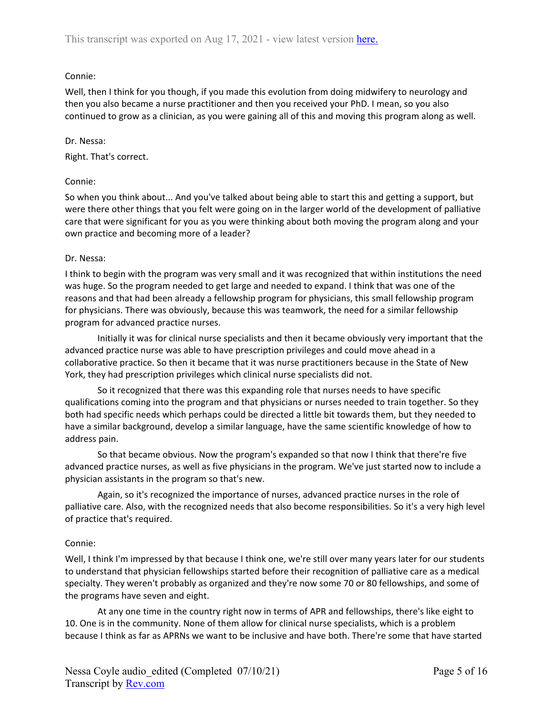# Connie:

Well, then I think for you though, if you made this evolution from doing midwifery to neurology and then you also became a nurse practitioner and then you received your PhD. I mean, so you also continued to grow as a clinician, as you were gaining all of this and moving this program along as well.

# Dr. Nessa:

Right. That's correct.

# Connie:

So when you think about... And you've talked about being able to start this and getting a support, but were there other things that you felt were going on in the larger world of the development of palliative care that were significant for you as you were thinking about both moving the program along and your own practice and becoming more of a leader?

### Dr. Nessa:

I think to begin with the program was very small and it was recognized that within institutions the need was huge. So the program needed to get large and needed to expand. I think that was one of the reasons and that had been already a fellowship program for physicians, this small fellowship program for physicians. There was obviously, because this was teamwork, the need for a similar fellowship program for advanced practice nurses.

Initially it was for clinical nurse specialists and then it became obviously very important that the advanced practice nurse was able to have prescription privileges and could move ahead in a collaborative practice. So then it became that it was nurse practitioners because in the State of New York, they had prescription privileges which clinical nurse specialists did not.

So it recognized that there was this expanding role that nurses needs to have specific qualifications coming into the program and that physicians or nurses needed to train together. So they both had specific needs which perhaps could be directed a little bit towards them, but they needed to have a similar background, develop a similar language, have the same scientific knowledge of how to address pain.

So that became obvious. Now the program's expanded so that now I think that there're five advanced practice nurses, as well as five physicians in the program. We've just started now to include a physician assistants in the program so that's new.

Again, so it's recognized the importance of nurses, advanced practice nurses in the role of palliative care. Also, with the recognized needs that also become responsibilities. So it's a very high level of practice that's required.

# Connie:

Well, I think I'm impressed by that because I think one, we're still over many years later for our students to understand that physician fellowships started before their recognition of palliative care as a medical specialty. They weren't probably as organized and they're now some 70 or 80 fellowships, and some of the programs have seven and eight.

At any one time in the country right now in terms of APR and fellowships, there's like eight to 10. One is in the community. None of them allow for clinical nurse specialists, which is a problem because I think as far as APRNs we want to be inclusive and have both. There're some that have started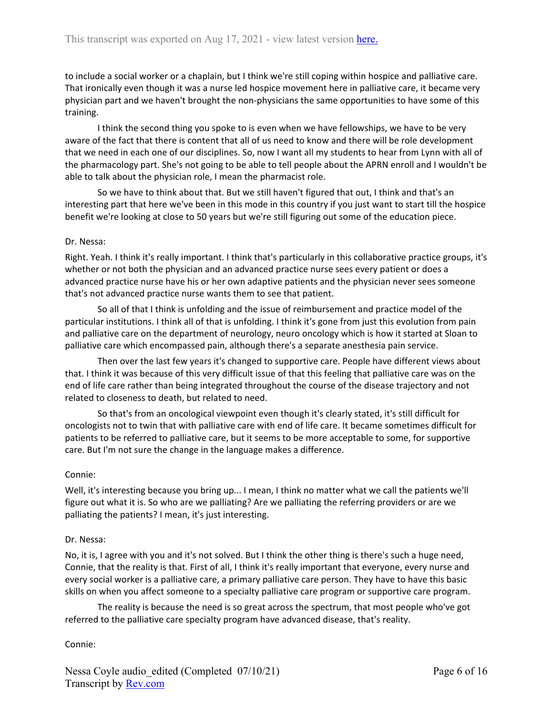to include a social worker or a chaplain, but I think we're still coping within hospice and palliative care. That ironically even though it was a nurse led hospice movement here in palliative care, it became very physician part and we haven't brought the non-physicians the same opportunities to have some of this training.

I think the second thing you spoke to is even when we have fellowships, we have to be very aware of the fact that there is content that all of us need to know and there will be role development that we need in each one of our disciplines. So, now I want all my students to hear from Lynn with all of the pharmacology part. She's not going to be able to tell people about the APRN enroll and I wouldn't be able to talk about the physician role, I mean the pharmacist role.

So we have to think about that. But we still haven't figured that out, I think and that's an interesting part that here we've been in this mode in this country if you just want to start till the hospice benefit we're looking at close to 50 years but we're still figuring out some of the education piece.

### Dr. Nessa:

Right. Yeah. I think it's really important. I think that's particularly in this collaborative practice groups, it's whether or not both the physician and an advanced practice nurse sees every patient or does a advanced practice nurse have his or her own adaptive patients and the physician never sees someone that's not advanced practice nurse wants them to see that patient.

So all of that I think is unfolding and the issue of reimbursement and practice model of the particular institutions. I think all of that is unfolding. I think it's gone from just this evolution from pain and palliative care on the department of neurology, neuro oncology which is how it started at Sloan to palliative care which encompassed pain, although there's a separate anesthesia pain service.

Then over the last few years it's changed to supportive care. People have different views about that. I think it was because of this very difficult issue of that this feeling that palliative care was on the end of life care rather than being integrated throughout the course of the disease trajectory and not related to closeness to death, but related to need.

So that's from an oncological viewpoint even though it's clearly stated, it's still difficult for oncologists not to twin that with palliative care with end of life care. It became sometimes difficult for patients to be referred to palliative care, but it seems to be more acceptable to some, for supportive care. But I'm not sure the change in the language makes a difference.

### Connie:

Well, it's interesting because you bring up... I mean, I think no matter what we call the patients we'll figure out what it is. So who are we palliating? Are we palliating the referring providers or are we palliating the patients? I mean, it's just interesting.

#### Dr. Nessa:

No, it is, I agree with you and it's not solved. But I think the other thing is there's such a huge need, Connie, that the reality is that. First of all, I think it's really important that everyone, every nurse and every social worker is a palliative care, a primary palliative care person. They have to have this basic skills on when you affect someone to a specialty palliative care program or supportive care program.

The reality is because the need is so great across the spectrum, that most people who've got referred to the palliative care specialty program have advanced disease, that's reality.

#### Connie: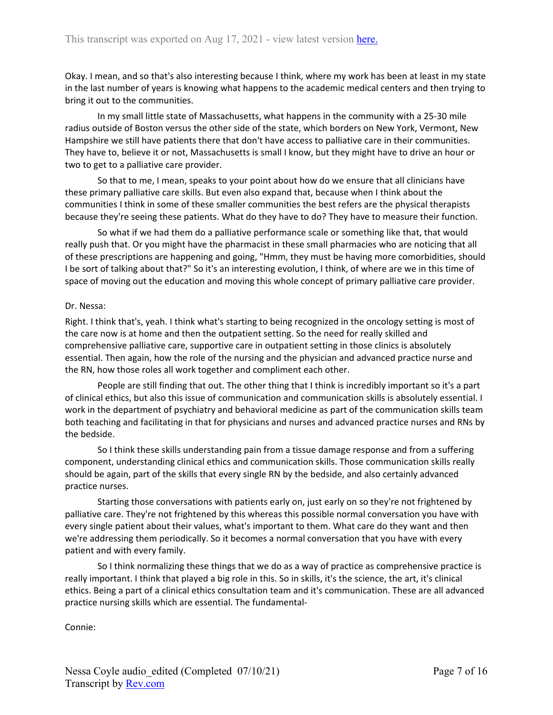Okay. I mean, and so that's also interesting because I think, where my work has been at least in my state in the last number of years is knowing what happens to the academic medical centers and then trying to bring it out to the communities.

In my small little state of Massachusetts, what happens in the community with a 25-30 mile radius outside of Boston versus the other side of the state, which borders on New York, Vermont, New Hampshire we still have patients there that don't have access to palliative care in their communities. They have to, believe it or not, Massachusetts is small I know, but they might have to drive an hour or two to get to a palliative care provider.

So that to me, I mean, speaks to your point about how do we ensure that all clinicians have these primary palliative care skills. But even also expand that, because when I think about the communities I think in some of these smaller communities the best refers are the physical therapists because they're seeing these patients. What do they have to do? They have to measure their function.

So what if we had them do a palliative performance scale or something like that, that would really push that. Or you might have the pharmacist in these small pharmacies who are noticing that all of these prescriptions are happening and going, "Hmm, they must be having more comorbidities, should I be sort of talking about that?" So it's an interesting evolution, I think, of where are we in this time of space of moving out the education and moving this whole concept of primary palliative care provider.

### Dr. Nessa:

Right. I think that's, yeah. I think what's starting to being recognized in the oncology setting is most of the care now is at home and then the outpatient setting. So the need for really skilled and comprehensive palliative care, supportive care in outpatient setting in those clinics is absolutely essential. Then again, how the role of the nursing and the physician and advanced practice nurse and the RN, how those roles all work together and compliment each other.

People are still finding that out. The other thing that I think is incredibly important so it's a part of clinical ethics, but also this issue of communication and communication skills is absolutely essential. I work in the department of psychiatry and behavioral medicine as part of the communication skills team both teaching and facilitating in that for physicians and nurses and advanced practice nurses and RNs by the bedside.

So I think these skills understanding pain from a tissue damage response and from a suffering component, understanding clinical ethics and communication skills. Those communication skills really should be again, part of the skills that every single RN by the bedside, and also certainly advanced practice nurses.

Starting those conversations with patients early on, just early on so they're not frightened by palliative care. They're not frightened by this whereas this possible normal conversation you have with every single patient about their values, what's important to them. What care do they want and then we're addressing them periodically. So it becomes a normal conversation that you have with every patient and with every family.

So I think normalizing these things that we do as a way of practice as comprehensive practice is really important. I think that played a big role in this. So in skills, it's the science, the art, it's clinical ethics. Being a part of a clinical ethics consultation team and it's communication. These are all advanced practice nursing skills which are essential. The fundamental-

Connie: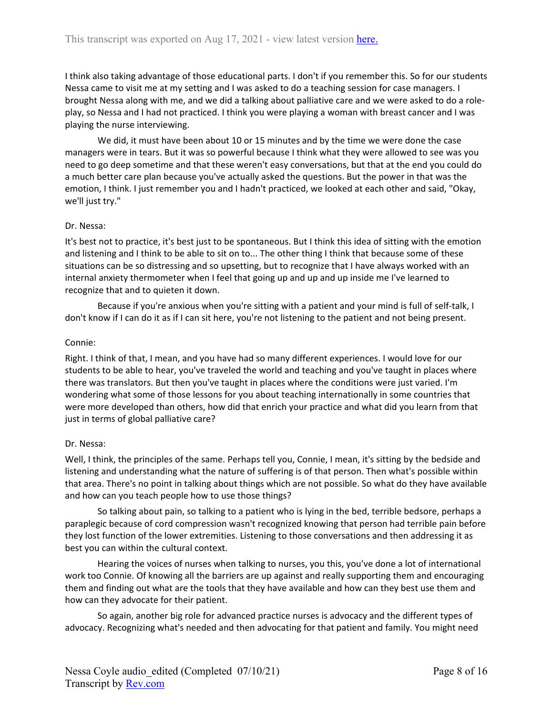I think also taking advantage of those educational parts. I don't if you remember this. So for our students Nessa came to visit me at my setting and I was asked to do a teaching session for case managers. I brought Nessa along with me, and we did a talking about palliative care and we were asked to do a roleplay, so Nessa and I had not practiced. I think you were playing a woman with breast cancer and I was playing the nurse interviewing.

We did, it must have been about 10 or 15 minutes and by the time we were done the case managers were in tears. But it was so powerful because I think what they were allowed to see was you need to go deep sometime and that these weren't easy conversations, but that at the end you could do a much better care plan because you've actually asked the questions. But the power in that was the emotion, I think. I just remember you and I hadn't practiced, we looked at each other and said, "Okay, we'll just try."

### Dr. Nessa:

It's best not to practice, it's best just to be spontaneous. But I think this idea of sitting with the emotion and listening and I think to be able to sit on to... The other thing I think that because some of these situations can be so distressing and so upsetting, but to recognize that I have always worked with an internal anxiety thermometer when I feel that going up and up and up inside me I've learned to recognize that and to quieten it down.

Because if you're anxious when you're sitting with a patient and your mind is full of self-talk, I don't know if I can do it as if I can sit here, you're not listening to the patient and not being present.

### Connie:

Right. I think of that, I mean, and you have had so many different experiences. I would love for our students to be able to hear, you've traveled the world and teaching and you've taught in places where there was translators. But then you've taught in places where the conditions were just varied. I'm wondering what some of those lessons for you about teaching internationally in some countries that were more developed than others, how did that enrich your practice and what did you learn from that just in terms of global palliative care?

### Dr. Nessa:

Well, I think, the principles of the same. Perhaps tell you, Connie, I mean, it's sitting by the bedside and listening and understanding what the nature of suffering is of that person. Then what's possible within that area. There's no point in talking about things which are not possible. So what do they have available and how can you teach people how to use those things?

So talking about pain, so talking to a patient who is lying in the bed, terrible bedsore, perhaps a paraplegic because of cord compression wasn't recognized knowing that person had terrible pain before they lost function of the lower extremities. Listening to those conversations and then addressing it as best you can within the cultural context.

Hearing the voices of nurses when talking to nurses, you this, you've done a lot of international work too Connie. Of knowing all the barriers are up against and really supporting them and encouraging them and finding out what are the tools that they have available and how can they best use them and how can they advocate for their patient.

So again, another big role for advanced practice nurses is advocacy and the different types of advocacy. Recognizing what's needed and then advocating for that patient and family. You might need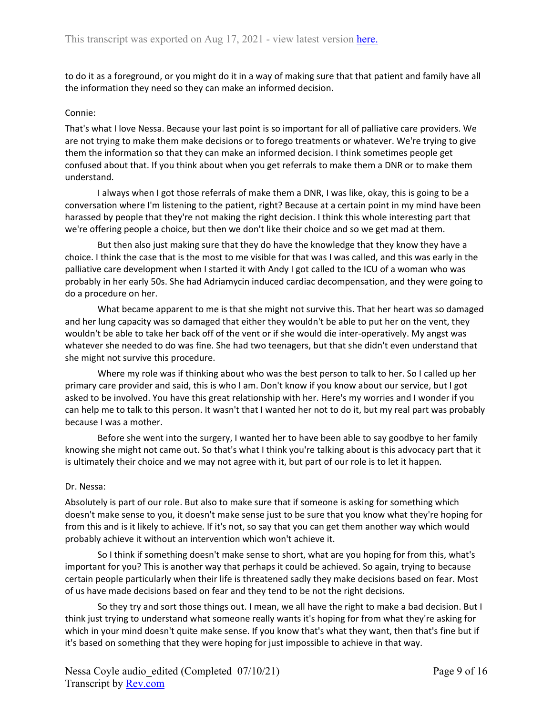to do it as a foreground, or you might do it in a way of making sure that that patient and family have all the information they need so they can make an informed decision.

### Connie:

That's what I love Nessa. Because your last point is so important for all of palliative care providers. We are not trying to make them make decisions or to forego treatments or whatever. We're trying to give them the information so that they can make an informed decision. I think sometimes people get confused about that. If you think about when you get referrals to make them a DNR or to make them understand.

I always when I got those referrals of make them a DNR, I was like, okay, this is going to be a conversation where I'm listening to the patient, right? Because at a certain point in my mind have been harassed by people that they're not making the right decision. I think this whole interesting part that we're offering people a choice, but then we don't like their choice and so we get mad at them.

But then also just making sure that they do have the knowledge that they know they have a choice. I think the case that is the most to me visible for that was I was called, and this was early in the palliative care development when I started it with Andy I got called to the ICU of a woman who was probably in her early 50s. She had Adriamycin induced cardiac decompensation, and they were going to do a procedure on her.

What became apparent to me is that she might not survive this. That her heart was so damaged and her lung capacity was so damaged that either they wouldn't be able to put her on the vent, they wouldn't be able to take her back off of the vent or if she would die inter-operatively. My angst was whatever she needed to do was fine. She had two teenagers, but that she didn't even understand that she might not survive this procedure.

Where my role was if thinking about who was the best person to talk to her. So I called up her primary care provider and said, this is who I am. Don't know if you know about our service, but I got asked to be involved. You have this great relationship with her. Here's my worries and I wonder if you can help me to talk to this person. It wasn't that I wanted her not to do it, but my real part was probably because I was a mother.

Before she went into the surgery, I wanted her to have been able to say goodbye to her family knowing she might not came out. So that's what I think you're talking about is this advocacy part that it is ultimately their choice and we may not agree with it, but part of our role is to let it happen.

### Dr. Nessa:

Absolutely is part of our role. But also to make sure that if someone is asking for something which doesn't make sense to you, it doesn't make sense just to be sure that you know what they're hoping for from this and is it likely to achieve. If it's not, so say that you can get them another way which would probably achieve it without an intervention which won't achieve it.

So I think if something doesn't make sense to short, what are you hoping for from this, what's important for you? This is another way that perhaps it could be achieved. So again, trying to because certain people particularly when their life is threatened sadly they make decisions based on fear. Most of us have made decisions based on fear and they tend to be not the right decisions.

So they try and sort those things out. I mean, we all have the right to make a bad decision. But I think just trying to understand what someone really wants it's hoping for from what they're asking for which in your mind doesn't quite make sense. If you know that's what they want, then that's fine but if it's based on something that they were hoping for just impossible to achieve in that way.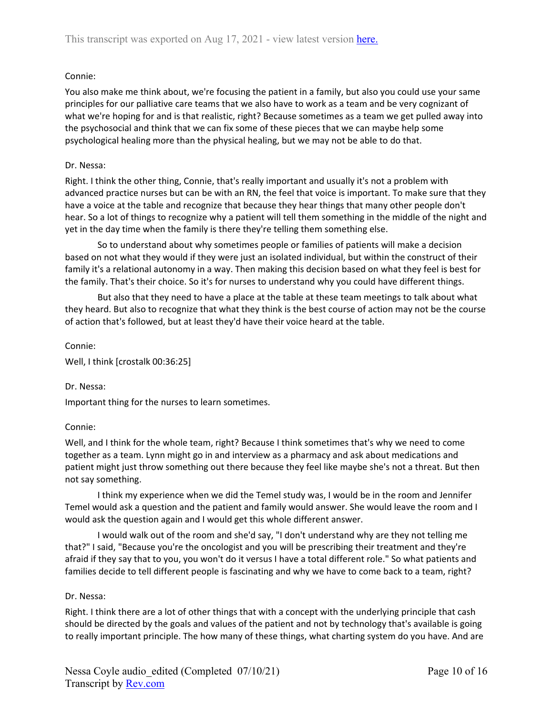# Connie:

You also make me think about, we're focusing the patient in a family, but also you could use your same principles for our palliative care teams that we also have to work as a team and be very cognizant of what we're hoping for and is that realistic, right? Because sometimes as a team we get pulled away into the psychosocial and think that we can fix some of these pieces that we can maybe help some psychological healing more than the physical healing, but we may not be able to do that.

# Dr. Nessa:

Right. I think the other thing, Connie, that's really important and usually it's not a problem with advanced practice nurses but can be with an RN, the feel that voice is important. To make sure that they have a voice at the table and recognize that because they hear things that many other people don't hear. So a lot of things to recognize why a patient will tell them something in the middle of the night and yet in the day time when the family is there they're telling them something else.

So to understand about why sometimes people or families of patients will make a decision based on not what they would if they were just an isolated individual, but within the construct of their family it's a relational autonomy in a way. Then making this decision based on what they feel is best for the family. That's their choice. So it's for nurses to understand why you could have different things.

But also that they need to have a place at the table at these team meetings to talk about what they heard. But also to recognize that what they think is the best course of action may not be the course of action that's followed, but at least they'd have their voice heard at the table.

### Connie:

Well, I think [crostalk 00:36:25]

# Dr. Nessa:

Important thing for the nurses to learn sometimes.

# Connie:

Well, and I think for the whole team, right? Because I think sometimes that's why we need to come together as a team. Lynn might go in and interview as a pharmacy and ask about medications and patient might just throw something out there because they feel like maybe she's not a threat. But then not say something.

I think my experience when we did the Temel study was, I would be in the room and Jennifer Temel would ask a question and the patient and family would answer. She would leave the room and I would ask the question again and I would get this whole different answer.

I would walk out of the room and she'd say, "I don't understand why are they not telling me that?" I said, "Because you're the oncologist and you will be prescribing their treatment and they're afraid if they say that to you, you won't do it versus I have a total different role." So what patients and families decide to tell different people is fascinating and why we have to come back to a team, right?

# Dr. Nessa:

Right. I think there are a lot of other things that with a concept with the underlying principle that cash should be directed by the goals and values of the patient and not by technology that's available is going to really important principle. The how many of these things, what charting system do you have. And are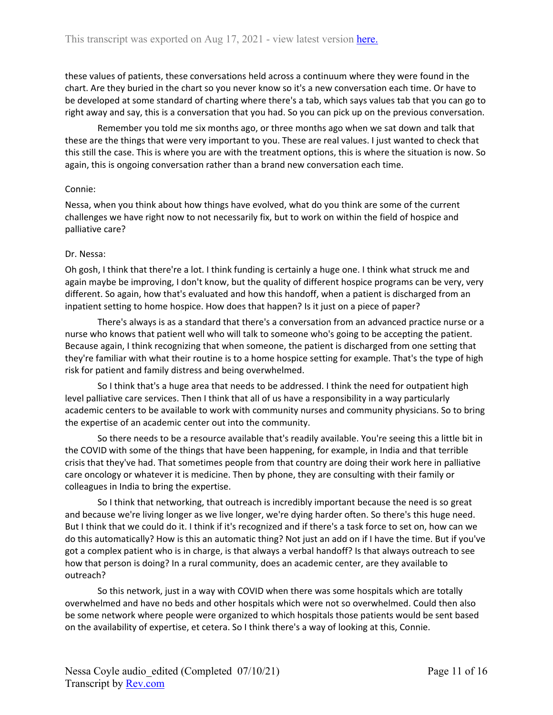these values of patients, these conversations held across a continuum where they were found in the chart. Are they buried in the chart so you never know so it's a new conversation each time. Or have to be developed at some standard of charting where there's a tab, which says values tab that you can go to right away and say, this is a conversation that you had. So you can pick up on the previous conversation.

Remember you told me six months ago, or three months ago when we sat down and talk that these are the things that were very important to you. These are real values. I just wanted to check that this still the case. This is where you are with the treatment options, this is where the situation is now. So again, this is ongoing conversation rather than a brand new conversation each time.

### Connie:

Nessa, when you think about how things have evolved, what do you think are some of the current challenges we have right now to not necessarily fix, but to work on within the field of hospice and palliative care?

#### Dr. Nessa:

Oh gosh, I think that there're a lot. I think funding is certainly a huge one. I think what struck me and again maybe be improving, I don't know, but the quality of different hospice programs can be very, very different. So again, how that's evaluated and how this handoff, when a patient is discharged from an inpatient setting to home hospice. How does that happen? Is it just on a piece of paper?

There's always is as a standard that there's a conversation from an advanced practice nurse or a nurse who knows that patient well who will talk to someone who's going to be accepting the patient. Because again, I think recognizing that when someone, the patient is discharged from one setting that they're familiar with what their routine is to a home hospice setting for example. That's the type of high risk for patient and family distress and being overwhelmed.

So I think that's a huge area that needs to be addressed. I think the need for outpatient high level palliative care services. Then I think that all of us have a responsibility in a way particularly academic centers to be available to work with community nurses and community physicians. So to bring the expertise of an academic center out into the community.

So there needs to be a resource available that's readily available. You're seeing this a little bit in the COVID with some of the things that have been happening, for example, in India and that terrible crisis that they've had. That sometimes people from that country are doing their work here in palliative care oncology or whatever it is medicine. Then by phone, they are consulting with their family or colleagues in India to bring the expertise.

So I think that networking, that outreach is incredibly important because the need is so great and because we're living longer as we live longer, we're dying harder often. So there's this huge need. But I think that we could do it. I think if it's recognized and if there's a task force to set on, how can we do this automatically? How is this an automatic thing? Not just an add on if I have the time. But if you've got a complex patient who is in charge, is that always a verbal handoff? Is that always outreach to see how that person is doing? In a rural community, does an academic center, are they available to outreach?

So this network, just in a way with COVID when there was some hospitals which are totally overwhelmed and have no beds and other hospitals which were not so overwhelmed. Could then also be some network where people were organized to which hospitals those patients would be sent based on the availability of expertise, et cetera. So I think there's a way of looking at this, Connie.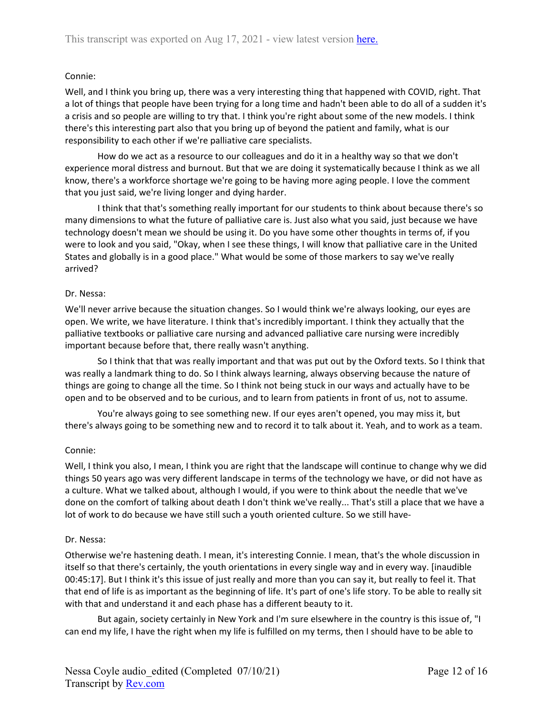### Connie:

Well, and I think you bring up, there was a very interesting thing that happened with COVID, right. That a lot of things that people have been trying for a long time and hadn't been able to do all of a sudden it's a crisis and so people are willing to try that. I think you're right about some of the new models. I think there's this interesting part also that you bring up of beyond the patient and family, what is our responsibility to each other if we're palliative care specialists.

How do we act as a resource to our colleagues and do it in a healthy way so that we don't experience moral distress and burnout. But that we are doing it systematically because I think as we all know, there's a workforce shortage we're going to be having more aging people. I love the comment that you just said, we're living longer and dying harder.

I think that that's something really important for our students to think about because there's so many dimensions to what the future of palliative care is. Just also what you said, just because we have technology doesn't mean we should be using it. Do you have some other thoughts in terms of, if you were to look and you said, "Okay, when I see these things, I will know that palliative care in the United States and globally is in a good place." What would be some of those markers to say we've really arrived?

### Dr. Nessa:

We'll never arrive because the situation changes. So I would think we're always looking, our eyes are open. We write, we have literature. I think that's incredibly important. I think they actually that the palliative textbooks or palliative care nursing and advanced palliative care nursing were incredibly important because before that, there really wasn't anything.

So I think that that was really important and that was put out by the Oxford texts. So I think that was really a landmark thing to do. So I think always learning, always observing because the nature of things are going to change all the time. So I think not being stuck in our ways and actually have to be open and to be observed and to be curious, and to learn from patients in front of us, not to assume.

You're always going to see something new. If our eyes aren't opened, you may miss it, but there's always going to be something new and to record it to talk about it. Yeah, and to work as a team.

### Connie:

Well, I think you also, I mean, I think you are right that the landscape will continue to change why we did things 50 years ago was very different landscape in terms of the technology we have, or did not have as a culture. What we talked about, although I would, if you were to think about the needle that we've done on the comfort of talking about death I don't think we've really... That's still a place that we have a lot of work to do because we have still such a youth oriented culture. So we still have-

### Dr. Nessa:

Otherwise we're hastening death. I mean, it's interesting Connie. I mean, that's the whole discussion in itself so that there's certainly, the youth orientations in every single way and in every way. [inaudible 00:45:17]. But I think it's this issue of just really and more than you can say it, but really to feel it. That that end of life is as important as the beginning of life. It's part of one's life story. To be able to really sit with that and understand it and each phase has a different beauty to it.

But again, society certainly in New York and I'm sure elsewhere in the country is this issue of, "I can end my life, I have the right when my life is fulfilled on my terms, then I should have to be able to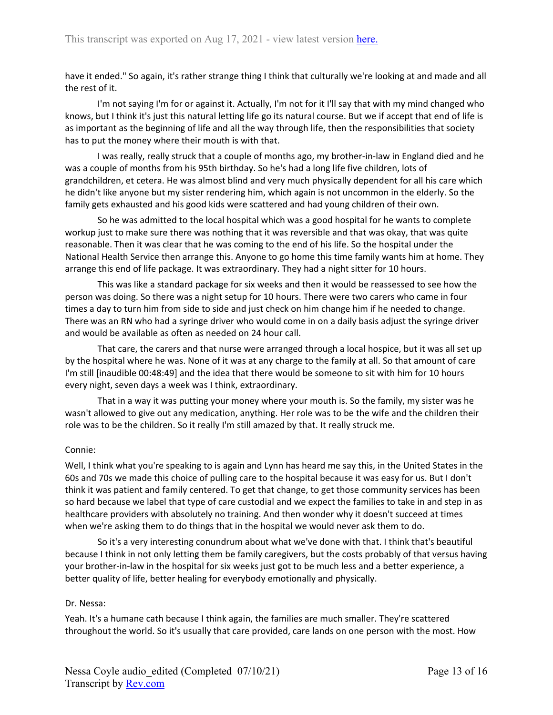have it ended." So again, it's rather strange thing I think that culturally we're looking at and made and all the rest of it.

I'm not saying I'm for or against it. Actually, I'm not for it I'll say that with my mind changed who knows, but I think it's just this natural letting life go its natural course. But we if accept that end of life is as important as the beginning of life and all the way through life, then the responsibilities that society has to put the money where their mouth is with that.

I was really, really struck that a couple of months ago, my brother-in-law in England died and he was a couple of months from his 95th birthday. So he's had a long life five children, lots of grandchildren, et cetera. He was almost blind and very much physically dependent for all his care which he didn't like anyone but my sister rendering him, which again is not uncommon in the elderly. So the family gets exhausted and his good kids were scattered and had young children of their own.

So he was admitted to the local hospital which was a good hospital for he wants to complete workup just to make sure there was nothing that it was reversible and that was okay, that was quite reasonable. Then it was clear that he was coming to the end of his life. So the hospital under the National Health Service then arrange this. Anyone to go home this time family wants him at home. They arrange this end of life package. It was extraordinary. They had a night sitter for 10 hours.

This was like a standard package for six weeks and then it would be reassessed to see how the person was doing. So there was a night setup for 10 hours. There were two carers who came in four times a day to turn him from side to side and just check on him change him if he needed to change. There was an RN who had a syringe driver who would come in on a daily basis adjust the syringe driver and would be available as often as needed on 24 hour call.

That care, the carers and that nurse were arranged through a local hospice, but it was all set up by the hospital where he was. None of it was at any charge to the family at all. So that amount of care I'm still [inaudible 00:48:49] and the idea that there would be someone to sit with him for 10 hours every night, seven days a week was I think, extraordinary.

That in a way it was putting your money where your mouth is. So the family, my sister was he wasn't allowed to give out any medication, anything. Her role was to be the wife and the children their role was to be the children. So it really I'm still amazed by that. It really struck me.

# Connie:

Well, I think what you're speaking to is again and Lynn has heard me say this, in the United States in the 60s and 70s we made this choice of pulling care to the hospital because it was easy for us. But I don't think it was patient and family centered. To get that change, to get those community services has been so hard because we label that type of care custodial and we expect the families to take in and step in as healthcare providers with absolutely no training. And then wonder why it doesn't succeed at times when we're asking them to do things that in the hospital we would never ask them to do.

So it's a very interesting conundrum about what we've done with that. I think that's beautiful because I think in not only letting them be family caregivers, but the costs probably of that versus having your brother-in-law in the hospital for six weeks just got to be much less and a better experience, a better quality of life, better healing for everybody emotionally and physically.

### Dr. Nessa:

Yeah. It's a humane cath because I think again, the families are much smaller. They're scattered throughout the world. So it's usually that care provided, care lands on one person with the most. How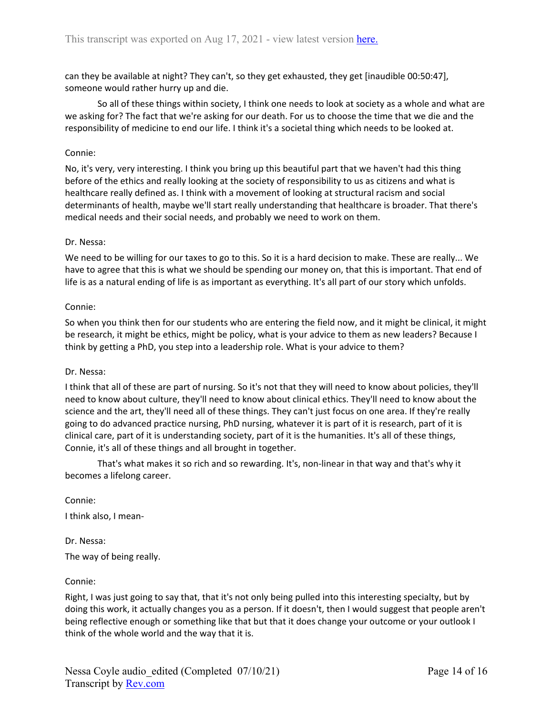can they be available at night? They can't, so they get exhausted, they get [inaudible 00:50:47], someone would rather hurry up and die.

So all of these things within society, I think one needs to look at society as a whole and what are we asking for? The fact that we're asking for our death. For us to choose the time that we die and the responsibility of medicine to end our life. I think it's a societal thing which needs to be looked at.

### Connie:

No, it's very, very interesting. I think you bring up this beautiful part that we haven't had this thing before of the ethics and really looking at the society of responsibility to us as citizens and what is healthcare really defined as. I think with a movement of looking at structural racism and social determinants of health, maybe we'll start really understanding that healthcare is broader. That there's medical needs and their social needs, and probably we need to work on them.

### Dr. Nessa:

We need to be willing for our taxes to go to this. So it is a hard decision to make. These are really... We have to agree that this is what we should be spending our money on, that this is important. That end of life is as a natural ending of life is as important as everything. It's all part of our story which unfolds.

### Connie:

So when you think then for our students who are entering the field now, and it might be clinical, it might be research, it might be ethics, might be policy, what is your advice to them as new leaders? Because I think by getting a PhD, you step into a leadership role. What is your advice to them?

### Dr. Nessa:

I think that all of these are part of nursing. So it's not that they will need to know about policies, they'll need to know about culture, they'll need to know about clinical ethics. They'll need to know about the science and the art, they'll need all of these things. They can't just focus on one area. If they're really going to do advanced practice nursing, PhD nursing, whatever it is part of it is research, part of it is clinical care, part of it is understanding society, part of it is the humanities. It's all of these things, Connie, it's all of these things and all brought in together.

That's what makes it so rich and so rewarding. It's, non-linear in that way and that's why it becomes a lifelong career.

Connie:

I think also, I mean-

Dr. Nessa: The way of being really.

### Connie:

Right, I was just going to say that, that it's not only being pulled into this interesting specialty, but by doing this work, it actually changes you as a person. If it doesn't, then I would suggest that people aren't being reflective enough or something like that but that it does change your outcome or your outlook I think of the whole world and the way that it is.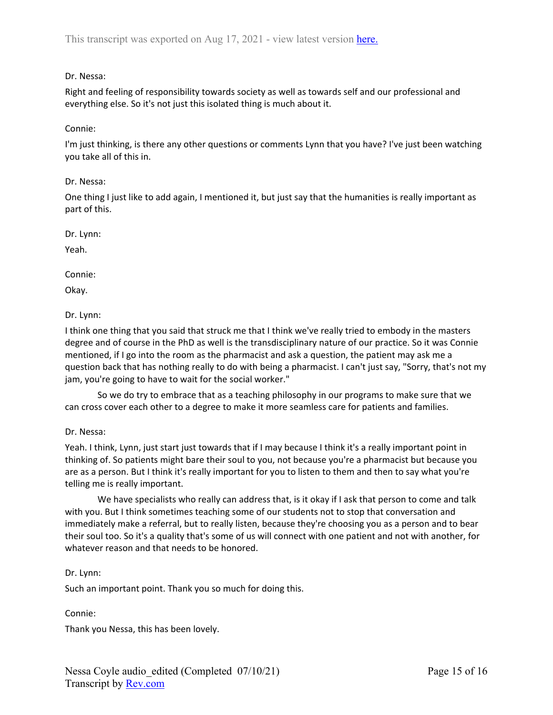# Dr. Nessa:

Right and feeling of responsibility towards society as well as towards self and our professional and everything else. So it's not just this isolated thing is much about it.

# Connie:

I'm just thinking, is there any other questions or comments Lynn that you have? I've just been watching you take all of this in.

Dr. Nessa:

One thing I just like to add again, I mentioned it, but just say that the humanities is really important as part of this.

Dr. Lynn:

Yeah.

Connie:

Okay.

# Dr. Lynn:

I think one thing that you said that struck me that I think we've really tried to embody in the masters degree and of course in the PhD as well is the transdisciplinary nature of our practice. So it was Connie mentioned, if I go into the room as the pharmacist and ask a question, the patient may ask me a question back that has nothing really to do with being a pharmacist. I can't just say, "Sorry, that's not my jam, you're going to have to wait for the social worker."

So we do try to embrace that as a teaching philosophy in our programs to make sure that we can cross cover each other to a degree to make it more seamless care for patients and families.

# Dr. Nessa:

Yeah. I think, Lynn, just start just towards that if I may because I think it's a really important point in thinking of. So patients might bare their soul to you, not because you're a pharmacist but because you are as a person. But I think it's really important for you to listen to them and then to say what you're telling me is really important.

We have specialists who really can address that, is it okay if I ask that person to come and talk with you. But I think sometimes teaching some of our students not to stop that conversation and immediately make a referral, but to really listen, because they're choosing you as a person and to bear their soul too. So it's a quality that's some of us will connect with one patient and not with another, for whatever reason and that needs to be honored.

# Dr. Lynn:

Such an important point. Thank you so much for doing this.

Connie:

Thank you Nessa, this has been lovely.